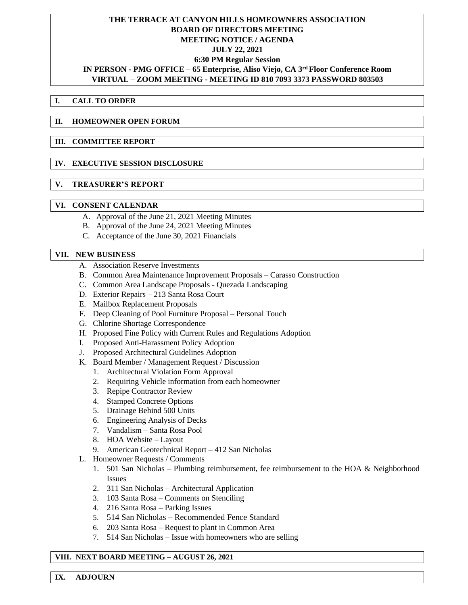# **THE TERRACE AT CANYON HILLS HOMEOWNERS ASSOCIATION BOARD OF DIRECTORS MEETING MEETING NOTICE / AGENDA JULY 22, 2021 6:30 PM Regular Session IN PERSON - PMG OFFICE – 65 Enterprise, Aliso Viejo, CA 3 rd Floor Conference Room VIRTUAL – ZOOM MEETING - MEETING ID 810 7093 3373 PASSWORD 803503**

## **I. CALL TO ORDER**

### **II. HOMEOWNER OPEN FORUM**

#### **III. COMMITTEE REPORT**

### **IV. EXECUTIVE SESSION DISCLOSURE**

## **V. TREASURER'S REPORT**

### **VI. CONSENT CALENDAR**

- A. Approval of the June 21, 2021 Meeting Minutes
- B. Approval of the June 24, 2021 Meeting Minutes
- C. Acceptance of the June 30, 2021 Financials

### **VII. NEW BUSINESS**

- A. Association Reserve Investments
- B. Common Area Maintenance Improvement Proposals Carasso Construction
- C. Common Area Landscape Proposals Quezada Landscaping
- D. Exterior Repairs 213 Santa Rosa Court
- E. Mailbox Replacement Proposals
- F. Deep Cleaning of Pool Furniture Proposal Personal Touch
- G. Chlorine Shortage Correspondence
- H. Proposed Fine Policy with Current Rules and Regulations Adoption
- I. Proposed Anti-Harassment Policy Adoption
- J. Proposed Architectural Guidelines Adoption
- K. Board Member / Management Request / Discussion
	- 1. Architectural Violation Form Approval
	- 2. Requiring Vehicle information from each homeowner
	- 3. Repipe Contractor Review
	- 4. Stamped Concrete Options
	- 5. Drainage Behind 500 Units
	- 6. Engineering Analysis of Decks
	- 7. Vandalism Santa Rosa Pool
	- 8. HOA Website Layout
	- 9. American Geotechnical Report 412 San Nicholas
- L. Homeowner Requests / Comments
	- 1. 501 San Nicholas Plumbing reimbursement, fee reimbursement to the HOA & Neighborhood Issues
	- 2. 311 San Nicholas Architectural Application
	- 3. 103 Santa Rosa Comments on Stenciling
	- 4. 216 Santa Rosa Parking Issues
	- 5. 514 San Nicholas Recommended Fence Standard
	- 6. 203 Santa Rosa Request to plant in Common Area
	- 7. 514 San Nicholas Issue with homeowners who are selling

## **VIII. NEXT BOARD MEETING – AUGUST 26, 2021**

**IX. ADJOURN**